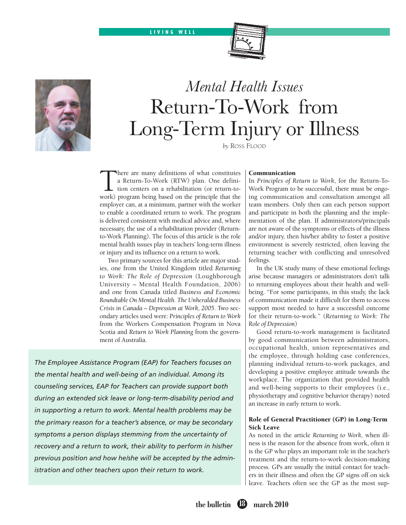



# *Mental Health Issues*  Return-To-Work from Long-Term Injury or Illness

*by* Ross Flood

There are many definitions of what constitutes<br>a Return-To-Work (RTW) plan. One defini-<br>tion centers on a rehabilitation (or return-to-<br>work) program being based on the principle that the a Return-To-Work (RTW) plan. One definition centers on a rehabilitation (or return-towork) program being based on the principle that the employer can, at a minimum, partner with the worker to enable a coordinated return to work. The program is delivered consistent with medical advice and, where necessary, the use of a rehabilitation provider (Returnto-Work Planning). The focus of this article is the role mental health issues play in teachers' long-term illness or injury and its influence on a return to work.

Two primary sources for this article are major studies, one from the United Kingdom titled *Returning to Work: The Role of Depression* (Loughborough University – Mental Health Foundation, 2006) and one from Canada titled *Business and Economic Roundtable On Mental Health. The Unheralded Business Crisis in Canada – Depression at Work, 2005*. Two secondary articles used were: *Principles of Return to Work* from the Workers Compensation Program in Nova Scotia and *Return to Work Planning* from the government of Australia.

*The Employee Assistance Program (EAP) for Teachers focuses on the mental health and well-being of an individual. Among its counseling services, EAP for Teachers can provide support both during an extended sick leave or long-term-disability period and in supporting a return to work. Mental health problems may be the primary reason for a teacher's absence, or may be secondary symptoms a person displays stemming from the uncertainty of recovery and a return to work, their ability to perform in his/her previous position and how he/she will be accepted by the administration and other teachers upon their return to work.*

#### Communication

In *Principles of Return to Work*, for the Return-To-Work Program to be successful, there must be ongoing communication and consultation amongst all team members. Only then can each person support and participate in both the planning and the implementation of the plan. If administrators/principals are not aware of the symptoms or effects of the illness and/or injury, then his/her ability to foster a positive environment is severely restricted, often leaving the returning teacher with conflicting and unresolved feelings.

In the UK study many of these emotional feelings arise because managers or administrators don't talk to returning employees about their health and wellbeing. "For some participants, in this study, the lack of communication made it difficult for them to access support most needed to have a successful outcome for their return-to-work." (*Returning to Work: The Role of Depression*)

Good return-to-work management is facilitated by good communication between administrators, occupational health, union representatives and the employee, through holding case conferences, planning individual return-to-work packages, and developing a positive employee attitude towards the workplace. The organization that provided health and well-being supports to their employees (i.e., physiotherapy and cognitive behavior therapy) noted an increase in early return to work.

# Role of General Practitioner (GP) in Long-Term Sick Leave

As noted in the article *Returning to Work*, when illness is the reason for the absence from work, often it is the GP who plays an important role in the teacher's treatment and the return-to-work decision-making process. GPs are usually the initial contact for teachers in their illness and often the GP signs off on sick leave. Teachers often see the GP as the most sup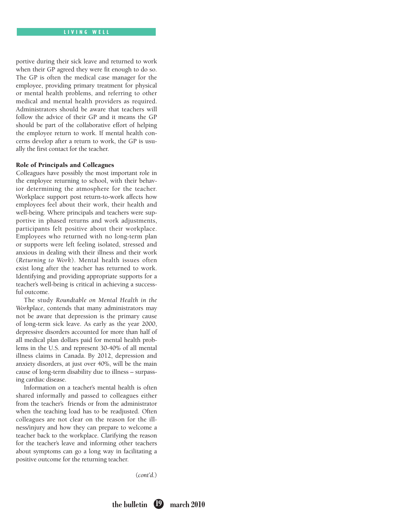portive during their sick leave and returned to work when their GP agreed they were fit enough to do so. The GP is often the medical case manager for the employee, providing primary treatment for physical or mental health problems, and referring to other medical and mental health providers as required. Administrators should be aware that teachers will follow the advice of their GP and it means the GP should be part of the collaborative effort of helping the employee return to work. If mental health concerns develop after a return to work, the GP is usually the first contact for the teacher.

## Role of Principals and Colleagues

Colleagues have possibly the most important role in the employee returning to school, with their behavior determining the atmosphere for the teacher. Workplace support post return-to-work affects how employees feel about their work, their health and well-being. Where principals and teachers were supportive in phased returns and work adjustments, participants felt positive about their workplace. Employees who returned with no long-term plan or supports were left feeling isolated, stressed and anxious in dealing with their illness and their work (*Returning to Work*). Mental health issues often exist long after the teacher has returned to work. Identifying and providing appropriate supports for a teacher's well-being is critical in achieving a successful outcome.

The study *Roundtable on Mental Health in the Workplace*, contends that many administrators may not be aware that depression is the primary cause of long-term sick leave. As early as the year 2000, depressive disorders accounted for more than half of all medical plan dollars paid for mental health problems in the U.S. and represent 30-40% of all mental illness claims in Canada. By 2012, depression and anxiety disorders, at just over 40%, will be the main cause of long-term disability due to illness – surpassing cardiac disease.

Information on a teacher's mental health is often shared informally and passed to colleagues either from the teacher's friends or from the administrator when the teaching load has to be readjusted. Often colleagues are not clear on the reason for the illness/injury and how they can prepare to welcome a teacher back to the workplace. Clarifying the reason for the teacher's leave and informing other teachers about symptoms can go a long way in facilitating a positive outcome for the returning teacher.

(*cont'd*.)